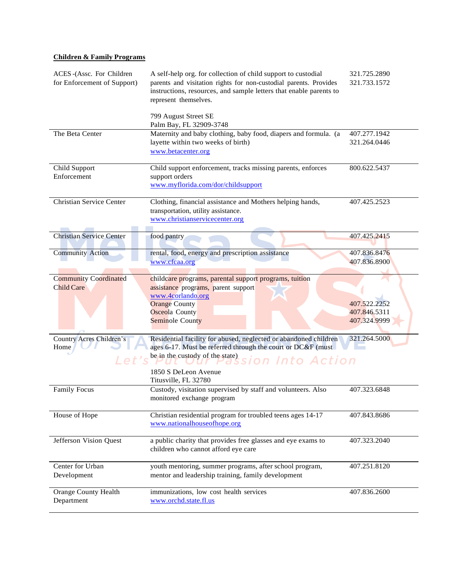# **Children & Family Programs**

| ACES -(Assc. For Children<br>for Enforcement of Support) | A self-help org. for collection of child support to custodial<br>parents and visitation rights for non-custodial parents. Provides<br>instructions, resources, and sample letters that enable parents to<br>represent themselves. | 321.725.2890<br>321.733.1572 |
|----------------------------------------------------------|-----------------------------------------------------------------------------------------------------------------------------------------------------------------------------------------------------------------------------------|------------------------------|
|                                                          | 799 August Street SE<br>Palm Bay, FL 32909-3748                                                                                                                                                                                   |                              |
| The Beta Center                                          | Maternity and baby clothing, baby food, diapers and formula. (a                                                                                                                                                                   | 407.277.1942                 |
|                                                          | layette within two weeks of birth)<br>www.betacenter.org                                                                                                                                                                          | 321.264.0446                 |
| Child Support                                            | Child support enforcement, tracks missing parents, enforces                                                                                                                                                                       | 800.622.5437                 |
| Enforcement                                              | support orders                                                                                                                                                                                                                    |                              |
|                                                          | www.myflorida.com/dor/childsupport                                                                                                                                                                                                |                              |
| <b>Christian Service Center</b>                          | Clothing, financial assistance and Mothers helping hands,                                                                                                                                                                         | 407.425.2523                 |
|                                                          | transportation, utility assistance.                                                                                                                                                                                               |                              |
|                                                          | www.christianservicecenter.org                                                                                                                                                                                                    |                              |
| <b>Christian Service Center</b>                          | food pantry                                                                                                                                                                                                                       | 407.425.2415                 |
| <b>Community Action</b>                                  | rental, food, energy and prescription assistance                                                                                                                                                                                  | 407.836.8476                 |
|                                                          | www.cfcaa.org                                                                                                                                                                                                                     | 407.836.8900                 |
|                                                          |                                                                                                                                                                                                                                   |                              |
| <b>Community Coordinated</b><br><b>Child Care</b>        | childcare programs, parental support programs, tuition<br>assistance programs, parent support<br>www.4corlando.org<br><b>Orange County</b><br><b>Osceola County</b>                                                               | 407.522.2252<br>407.846.5311 |
|                                                          | Seminole County                                                                                                                                                                                                                   | 407.324.9999                 |
| Country Acres Children's<br>Home                         | Residential facility for abused, neglected or abandoned children<br>ages 6-17. Must be referred through the court or DC&F (must<br>be in the custody of the state)<br>sion Into Action                                            | 321.264.5000                 |
|                                                          | 1850 S DeLeon Avenue<br>Titusville, FL 32780                                                                                                                                                                                      |                              |
| <b>Family Focus</b>                                      | Custody, visitation supervised by staff and volunteers. Also<br>monitored exchange program                                                                                                                                        | 407.323.6848                 |
| House of Hope                                            | Christian residential program for troubled teens ages 14-17<br>www.nationalhouseofhope.org                                                                                                                                        | 407.843.8686                 |
|                                                          |                                                                                                                                                                                                                                   |                              |
| Jefferson Vision Quest                                   | a public charity that provides free glasses and eye exams to<br>children who cannot afford eye care                                                                                                                               | 407.323.2040                 |
| Center for Urban                                         | youth mentoring, summer programs, after school program,                                                                                                                                                                           | 407.251.8120                 |
| Development                                              | mentor and leadership training, family development                                                                                                                                                                                |                              |
| Orange County Health<br>Department                       | immunizations, low cost health services<br>www.orchd.state.fl.us                                                                                                                                                                  | 407.836.2600                 |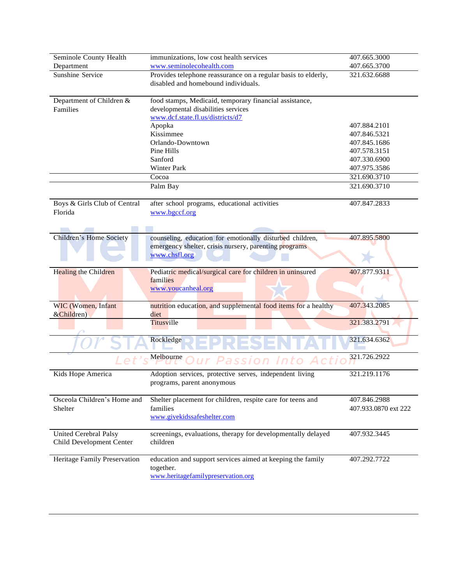|                              |                                                                | 407.665.3000         |
|------------------------------|----------------------------------------------------------------|----------------------|
| Seminole County Health       | immunizations, low cost health services                        |                      |
| Department                   | www.seminolecohealth.com                                       | 407.665.3700         |
| Sunshine Service             | Provides telephone reassurance on a regular basis to elderly,  | 321.632.6688         |
|                              | disabled and homebound individuals.                            |                      |
|                              |                                                                |                      |
| Department of Children &     | food stamps, Medicaid, temporary financial assistance,         |                      |
| Families                     | developmental disabilities services                            |                      |
|                              | www.dcf.state.fl.us/districts/d7                               |                      |
|                              | Apopka                                                         | 407.884.2101         |
|                              | Kissimmee                                                      | 407.846.5321         |
|                              | Orlando-Downtown                                               | 407.845.1686         |
|                              | Pine Hills                                                     | 407.578.3151         |
|                              | Sanford                                                        | 407.330.6900         |
|                              | Winter Park                                                    | 407.975.3586         |
|                              | Cocoa                                                          | 321.690.3710         |
|                              | Palm Bay                                                       | 321.690.3710         |
|                              |                                                                |                      |
| Boys & Girls Club of Central | after school programs, educational activities                  | 407.847.2833         |
| Florida                      | www.bgccf.org                                                  |                      |
|                              |                                                                |                      |
|                              |                                                                |                      |
| Children's Home Society      | counseling, education for emotionally disturbed children,      | 407.895.5800         |
|                              |                                                                |                      |
|                              | emergency shelter, crisis nursery, parenting programs          |                      |
|                              | www.chsfl.org                                                  |                      |
|                              |                                                                |                      |
| Healing the Children         | Pediatric medical/surgical care for children in uninsured      | 407.877.9311         |
|                              | families                                                       |                      |
|                              | www.youcanheal.org                                             |                      |
|                              |                                                                |                      |
| WIC (Women, Infant           | nutrition education, and supplemental food items for a healthy | 407.343.2085         |
| &Children)                   | diet                                                           |                      |
|                              | Titusville                                                     | 321.383.2791         |
|                              |                                                                |                      |
|                              | Rockledge                                                      | 321.634.6362         |
|                              | Melbourne                                                      | 321.726.2922         |
|                              | assion Into                                                    |                      |
| Kids Hope America            | Adoption services, protective serves, independent living       | 321.219.1176         |
|                              | programs, parent anonymous                                     |                      |
|                              |                                                                |                      |
| Osceola Children's Home and  | Shelter placement for children, respite care for teens and     | 407.846.2988         |
|                              | families                                                       | 407.933.0870 ext 222 |
| Shelter                      |                                                                |                      |
|                              | www.givekidssafeshelter.com                                    |                      |
|                              |                                                                |                      |
| United Cerebral Palsy        | screenings, evaluations, therapy for developmentally delayed   | 407.932.3445         |
| Child Development Center     | children                                                       |                      |
|                              |                                                                |                      |
| Heritage Family Preservation | education and support services aimed at keeping the family     | 407.292.7722         |

together.

[www.heritagefamilypreservation.org](http://www.heritagefamilypreservation.org/)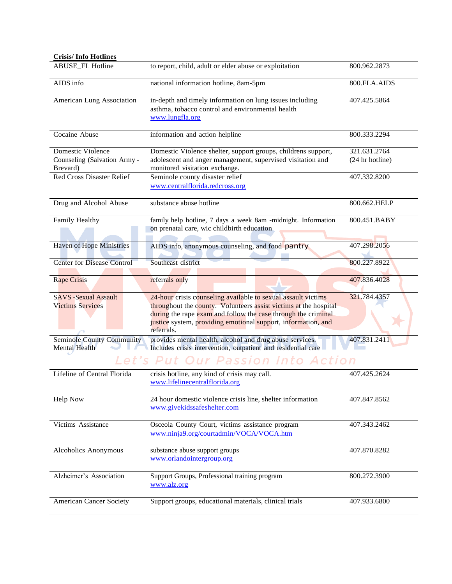| <b>Crisis/Info Hotlines</b>                            |                                                                                                                                                                                                                                                                                   |                                 |
|--------------------------------------------------------|-----------------------------------------------------------------------------------------------------------------------------------------------------------------------------------------------------------------------------------------------------------------------------------|---------------------------------|
| <b>ABUSE_FL Hotline</b>                                | to report, child, adult or elder abuse or exploitation                                                                                                                                                                                                                            | 800.962.2873                    |
| $\overline{AIDS}$ info                                 | national information hotline, 8am-5pm                                                                                                                                                                                                                                             | 800.FLA.AIDS                    |
| American Lung Association                              | in-depth and timely information on lung issues including<br>asthma, tobacco control and environmental health<br>www.lungfla.org                                                                                                                                                   | 407.425.5864                    |
| Cocaine Abuse                                          | information and action helpline                                                                                                                                                                                                                                                   | 800.333.2294                    |
| Domestic Violence<br>Counseling (Salvation Army -      | Domestic Violence shelter, support groups, childrens support,<br>adolescent and anger management, supervised visitation and                                                                                                                                                       | 321.631.2764<br>(24 hr hotline) |
| Brevard)<br><b>Red Cross Disaster Relief</b>           | monitored visitation exchange.<br>Seminole county disaster relief<br>www.centralflorida.redcross.org                                                                                                                                                                              | 407.332.8200                    |
| Drug and Alcohol Abuse                                 | substance abuse hotline                                                                                                                                                                                                                                                           | 800.662.HELP                    |
| Family Healthy                                         | family help hotline, 7 days a week 8am -midnight. Information<br>on prenatal care, wic childbirth education                                                                                                                                                                       | 800.451.BABY                    |
| <b>Haven of Hope Ministries</b>                        | AIDS info, anonymous counseling, and food pantry                                                                                                                                                                                                                                  | 407.298.2056                    |
| <b>Center for Disease Control</b>                      | Southeast district                                                                                                                                                                                                                                                                | 800.227.8922                    |
| <b>Rape Crisis</b>                                     | referrals only                                                                                                                                                                                                                                                                    | 407.836.4028                    |
| <b>SAVS -Sexual Assault</b><br><b>Victims Services</b> | 24-hour crisis counseling available to sexual assault victims<br>throughout the county. Volunteers assist victims at the hospital<br>during the rape exam and follow the case through the criminal<br>justice system, providing emotional support, information, and<br>referrals. | 321.784.4357                    |
| <b>Seminole County Community</b><br>Mental Health      | provides mental health, alcohol and drug abuse services.<br>Includes crisis intervention, outpatient and residential care                                                                                                                                                         | 407.831.2411                    |
|                                                        | Let's Put Our Passion Into Action                                                                                                                                                                                                                                                 |                                 |
| Lifeline of Central Florida                            | crisis hotline, any kind of crisis may call.<br>www.lifelinecentralflorida.org                                                                                                                                                                                                    | 407.425.2624                    |
| <b>Help Now</b>                                        | 24 hour domestic violence crisis line, shelter information<br>www.givekidssafeshelter.com                                                                                                                                                                                         | 407.847.8562                    |
| Victims Assistance                                     | Osceola County Court, victims assistance program<br>www.ninja9.org/courtadmin/VOCA/VOCA.htm                                                                                                                                                                                       | 407.343.2462                    |
| Alcoholics Anonymous                                   | substance abuse support groups<br>www.orlandointergroup.org                                                                                                                                                                                                                       | 407.870.8282                    |
| Alzheimer's Association                                | Support Groups, Professional training program<br>www.alz.org                                                                                                                                                                                                                      | 800.272.3900                    |
| <b>American Cancer Society</b>                         | Support groups, educational materials, clinical trials                                                                                                                                                                                                                            | 407.933.6800                    |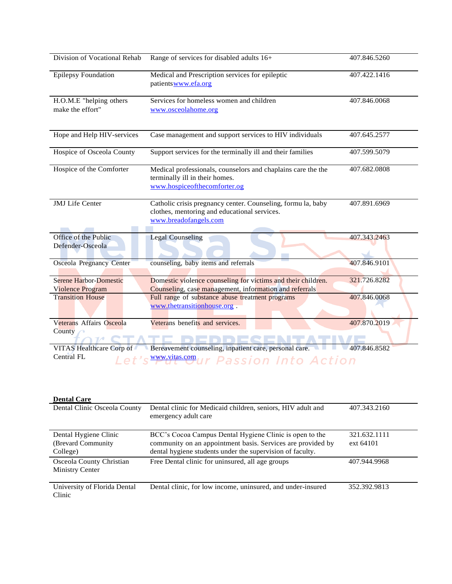| Division of Vocational Rehab                             | Range of services for disabled adults 16+                                                                                             | 407.846.5260 |
|----------------------------------------------------------|---------------------------------------------------------------------------------------------------------------------------------------|--------------|
| <b>Epilepsy Foundation</b>                               | Medical and Prescription services for epileptic<br>patientswww.efa.org                                                                | 407.422.1416 |
| H.O.M.E "helping others<br>make the effort"              | Services for homeless women and children<br>www.osceolahome.org                                                                       | 407.846.0068 |
| Hope and Help HIV-services                               | Case management and support services to HIV individuals                                                                               | 407.645.2577 |
| Hospice of Osceola County                                | Support services for the terminally ill and their families                                                                            | 407.599.5079 |
| Hospice of the Comforter                                 | Medical professionals, counselors and chaplains care the the<br>terminally ill in their homes.<br>www.hospiceofthecomforter.og        | 407.682.0808 |
| <b>JMJ</b> Life Center                                   | Catholic crisis pregnancy center. Counseling, formu la, baby<br>clothes, mentoring and educational services.<br>www.breadofangels.com | 407.891.6969 |
| Office of the Public<br>Defender-Osceola                 | <b>Legal Counseling</b>                                                                                                               | 407.343.2463 |
| <b>Osceola Pregnancy Center</b>                          | counseling, baby items and referrals                                                                                                  | 407.846.9101 |
| <b>Serene Harbor-Domestic</b><br><b>Violence Program</b> | Domestic violence counseling for victims and their children.<br>Counseling, case management, information and referrals                | 321.726.8282 |
| <b>Transition House</b>                                  | Full range of substance abuse treatment programs<br>www.thetransitionhouse.org.                                                       | 407.846.0068 |
| Veterans Affairs Osceola<br>County                       | Veterans benefits and services.                                                                                                       | 407.870.2019 |
| VITAS Healthcare Corp of<br>$\Gamma$ entral $\Gamma L$   | Bereavement counseling, inpatient care, personal care.                                                                                | 407.846.8582 |

Central FL Let's www.yitas.com ur Passion Into Action

| <b>Dental Care</b> |
|--------------------|
|--------------------|

| Dental Clinic Osceola County                             | Dental clinic for Medicaid children, seniors, HIV adult and<br>emergency adult care                                                                                                 | 407.343.2160              |
|----------------------------------------------------------|-------------------------------------------------------------------------------------------------------------------------------------------------------------------------------------|---------------------------|
| Dental Hygiene Clinic<br>(Brevard Community)<br>College) | BCC's Cocoa Campus Dental Hygiene Clinic is open to the<br>community on an appointment basis. Services are provided by<br>dental hygiene students under the supervision of faculty. | 321.632.1111<br>ext 64101 |
| Osceola County Christian<br><b>Ministry Center</b>       | Free Dental clinic for uninsured, all age groups                                                                                                                                    | 407.944.9968              |
| University of Florida Dental<br>Clinic                   | Dental clinic, for low income, uninsured, and under-insured                                                                                                                         | 352.392.9813              |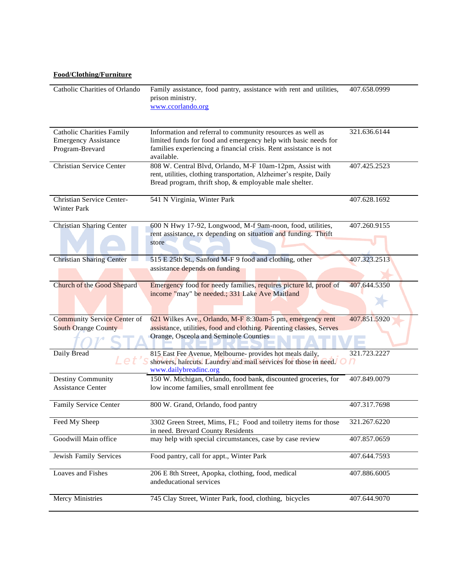## **Food/Clothing/Furniture**

| Catholic Charities of Orlando                                                      | Family assistance, food pantry, assistance with rent and utilities,<br>prison ministry.<br>www.ccorlando.org                                                                                                   | 407.658.0999 |
|------------------------------------------------------------------------------------|----------------------------------------------------------------------------------------------------------------------------------------------------------------------------------------------------------------|--------------|
| <b>Catholic Charities Family</b><br><b>Emergency Assistance</b><br>Program-Brevard | Information and referral to community resources as well as<br>limited funds for food and emergency help with basic needs for<br>families experiencing a financial crisis. Rent assistance is not<br>available. | 321.636.6144 |
| <b>Christian Service Center</b>                                                    | 808 W. Central Blvd, Orlando, M-F 10am-12pm, Assist with<br>rent, utilities, clothing transportation, Alzheimer's respite, Daily<br>Bread program, thrift shop, & employable male shelter.                     | 407.425.2523 |
| Christian Service Center-<br>Winter Park                                           | 541 N Virginia, Winter Park                                                                                                                                                                                    | 407.628.1692 |
| <b>Christian Sharing Center</b>                                                    | 600 N Hwy 17-92, Longwood, M-f 9am-noon, food, utilities,<br>rent assistance, rx depending on situation and funding. Thrift<br>store                                                                           | 407.260.9155 |
| <b>Christian Sharing Center</b>                                                    | 515 E 25th St., Sanford M-F 9 food and clothing, other<br>assistance depends on funding                                                                                                                        | 407.323.2513 |
| Church of the Good Shepard                                                         | Emergency food for needy families, requires picture Id, proof of<br>income "may" be needed.; 331 Lake Ave Maitland                                                                                             | 407.644.5350 |
| Community Service Center of                                                        | 621 Wilkes Ave., Orlando, M-F 8:30am-5 pm, emergency rent                                                                                                                                                      | 407.851.5920 |
| <b>South Orange County</b>                                                         | assistance, utilities, food and clothing. Parenting classes, Serves                                                                                                                                            |              |
|                                                                                    | Orange, Osceola and Seminole Counties                                                                                                                                                                          |              |
| Daily Bread                                                                        | 815 East Fee Avenue, Melbourne- provides hot meals daily,<br>showers, haircuts. Laundry and mail services for those in need.<br>www.dailybreadinc.org                                                          | 321.723.2227 |
| Destiny Community<br><b>Assistance Center</b>                                      | 150 W. Michigan, Orlando, food bank, discounted groceries, for<br>low income families, small enrollment fee                                                                                                    | 407.849.0079 |
| Family Service Center                                                              | 800 W. Grand, Orlando, food pantry                                                                                                                                                                             | 407.317.7698 |
| Feed My Sheep                                                                      | 3302 Green Street, Mims, FL; Food and toiletry items for those<br>in need. Brevard County Residents                                                                                                            | 321.267.6220 |
| Goodwill Main office                                                               | may help with special circumstances, case by case review                                                                                                                                                       | 407.857.0659 |
| Jewish Family Services                                                             | Food pantry, call for appt., Winter Park                                                                                                                                                                       | 407.644.7593 |
| Loaves and Fishes                                                                  | 206 E 8th Street, Apopka, clothing, food, medical<br>andeducational services                                                                                                                                   | 407.886.6005 |
| Mercy Ministries                                                                   | 745 Clay Street, Winter Park, food, clothing, bicycles                                                                                                                                                         | 407.644.9070 |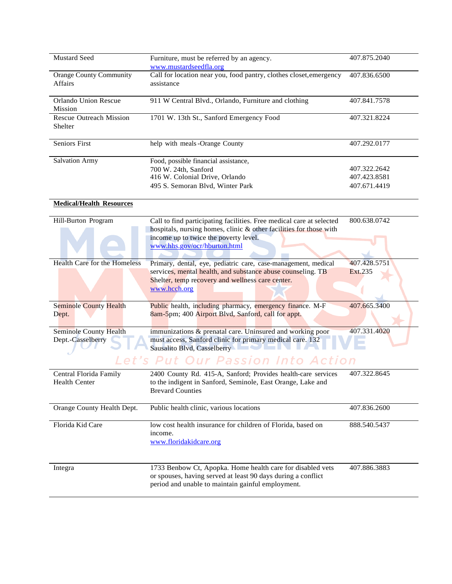| Mustard Seed                                     | Furniture, must be referred by an agency.                                        | 407.875.2040 |
|--------------------------------------------------|----------------------------------------------------------------------------------|--------------|
|                                                  | www.mustardseedfla.org                                                           |              |
| <b>Orange County Community</b><br><b>Affairs</b> | Call for location near you, food pantry, clothes closet, emergency<br>assistance | 407.836.6500 |
|                                                  |                                                                                  |              |
| Orlando Union Rescue                             | 911 W Central Blvd., Orlando, Furniture and clothing                             | 407.841.7578 |
| <b>Mission</b>                                   |                                                                                  |              |
| Rescue Outreach Mission                          | 1701 W. 13th St., Sanford Emergency Food                                         | 407.321.8224 |
| Shelter                                          |                                                                                  |              |
|                                                  |                                                                                  |              |
| <b>Seniors First</b>                             | help with meals -Orange County                                                   | 407.292.0177 |
| <b>Salvation Army</b>                            | Food, possible financial assistance,                                             |              |
|                                                  | 700 W. 24th, Sanford                                                             | 407.322.2642 |
|                                                  | 416 W. Colonial Drive, Orlando                                                   | 407.423.8581 |
|                                                  | 495 S. Semoran Blvd, Winter Park                                                 | 407.671.4419 |
|                                                  |                                                                                  |              |

# **Medical/Health Resources**

| Hill-Burton Program                                | 800.638.0742<br>Call to find participating facilities. Free medical care at selected<br>hospitals, nursing homes, clinic & other facilities for those with<br>income up to twice the poverty level.<br>www.hhs.gov/ocr/hburton.html                                                      |
|----------------------------------------------------|------------------------------------------------------------------------------------------------------------------------------------------------------------------------------------------------------------------------------------------------------------------------------------------|
| <b>Health Care for the Homeless</b>                | 407.428.5751<br>Primary, dental, eye, pediatric care, case-management, medical<br>services, mental health, and substance abuse counseling. TB<br>Ext.235<br>Shelter, temp recovery and wellness care center.<br>www.hcch.org                                                             |
| <b>Seminole County Health</b><br>Dept.             | Public health, including pharmacy, emergency finance. M-F<br>407.665.3400<br>8am-5pm; 400 Airport Blvd, Sanford, call for appt.                                                                                                                                                          |
| <b>Seminole County Health</b><br>Dept.-Casselberry | 407.331.4020<br>immunizations & prenatal care. Uninsured and working poor<br>must access, Sanford clinic for primary medical care. 132<br>Sausalito Blvd, Casselberry<br>the contract of the contract of the contract of the contract of the contract of the contract of the contract of |

| Central Florida Family<br><b>Health Center</b> | 2400 County Rd. 415-A, Sanford; Provides health-care services<br>to the indigent in Sanford, Seminole, East Orange, Lake and<br><b>Brevard Counties</b>                         | 407.322.8645 |
|------------------------------------------------|---------------------------------------------------------------------------------------------------------------------------------------------------------------------------------|--------------|
| Orange County Health Dept.                     | Public health clinic, various locations                                                                                                                                         | 407.836.2600 |
| Florida Kid Care                               | low cost health insurance for children of Florida, based on<br>income.<br>www.floridakidcare.org                                                                                | 888.540.5437 |
| Integra                                        | 1733 Benbow Ct, Apopka. Home health care for disabled vets<br>or spouses, having served at least 90 days during a conflict<br>period and unable to maintain gainful employment. | 407.886.3883 |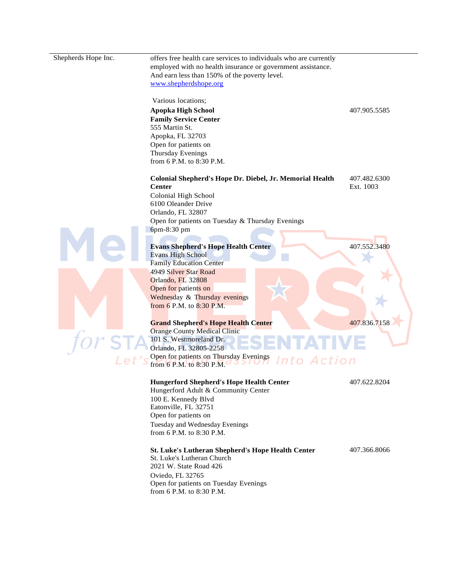Shepherds Hope Inc. offers free health care services to individuals who are currently employed with no health insurance or government assistance. And earn less than 150% of the poverty level. [www.shepherdshope.org](http://www.shepherdshope.org/)

Various locations;

**Apopka High School** 407.905.5585 **Family Service Center** 555 Martin St. Apopka, FL 32703 Open for patients on Thursday Evenings from 6 P.M. to 8:30 P.M.

**Colonial Shepherd's Hope Dr. Diebel, Jr. Memorial Health Center** 407.482.6300 Ext. 1003 Colonial High School 6100 Oleander Drive

Orlando, FL 32807 Open for patients on Tuesday & Thursday Evenings 6pm-8:30 pm

#### **Evans Shepherd's Hope Health Center**

Evans High School Family Education Center 4949 Silver Star Road Orlando, FL 32808 Open for patients on Wednesday & Thursday evenings from 6 P.M. to 8:30 P.M.

#### **Grand Shepherd's Hope Health Center**

Orange County Medical Clinic 101 S. Westmoreland Dr. Orlando, FL 32805-2258 Open for patients on Thursday Evenings from 6 P.M. to 8:30 P.M.

### **Hungerford Shepherd's Hope Health Center**

Hungerford Adult & Community Center 100 E. Kennedy Blvd Eatonville, FL 32751 Open for patients on Tuesday and Wednesday Evenings from 6 P.M. to 8:30 P.M.

## **St. Luke's Lutheran Shepherd's Hope Health Center**

St. Luke's Lutheran Church 2021 W. State Road 426 Oviedo, FL 32765 Open for patients on Tuesday Evenings from 6 P.M. to 8:30 P.M.

407.552.3480

407.836.7158

407.622.8204

nto Action

407.366.8066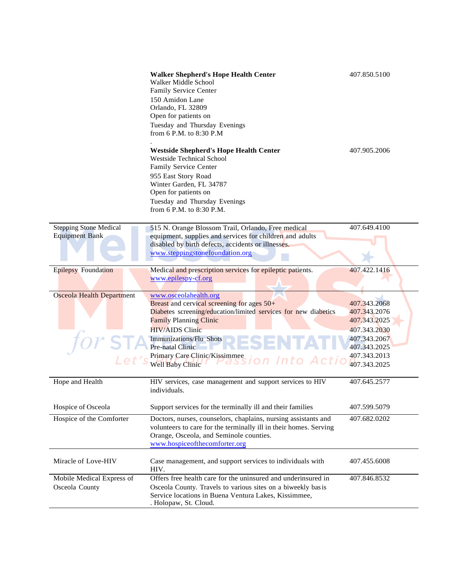|                                                        | <b>Walker Shepherd's Hope Health Center</b><br>Walker Middle School<br>Family Service Center<br>150 Amidon Lane<br>Orlando, FL 32809<br>Open for patients on<br>Tuesday and Thursday Evenings<br>from 6 P.M. to 8:30 P.M                                                                                | 407.850.5100                                                                                                                 |
|--------------------------------------------------------|---------------------------------------------------------------------------------------------------------------------------------------------------------------------------------------------------------------------------------------------------------------------------------------------------------|------------------------------------------------------------------------------------------------------------------------------|
|                                                        | <b>Westside Shepherd's Hope Health Center</b><br><b>Westside Technical School</b><br>Family Service Center<br>955 East Story Road<br>Winter Garden, FL 34787<br>Open for patients on<br>Tuesday and Thursday Evenings<br>from 6 P.M. to 8:30 P.M.                                                       | 407.905.2006                                                                                                                 |
| <b>Stepping Stone Medical</b><br><b>Equipment Bank</b> | 515 N. Orange Blossom Trail, Orlando, Free medical<br>equipment, supplies and services for children and adults<br>disabled by birth defects, accidents or illnesses.<br>www.steppingstonefoundation.org                                                                                                 | 407.649.4100                                                                                                                 |
| <b>Epilepsy Foundation</b>                             | Medical and prescription services for epileptic patients.<br>www.epilespy-cf.org                                                                                                                                                                                                                        | 407.422.1416                                                                                                                 |
| <b>Osceola Health Department</b>                       | www.osceolahealth.org<br>Breast and cervical screening for ages $50+$<br>Diabetes screening/education/limited services for new diabetics<br><b>Family Planning Clinic</b><br><b>HIV/AIDS Clinic</b><br>Immunizations/Flu Shots<br>Pre-natal Clinic<br>Primary Care Clinic/Kissimmee<br>Well Baby Clinic | 407.343.2068<br>407.343.2076<br>407.343.2025<br>407.343.2030<br>407.343.2067<br>407.343.2025<br>407.343.2013<br>407.343.2025 |
| Hope and Health                                        | HIV services, case management and support services to HIV<br>individuals.                                                                                                                                                                                                                               | 407.645.2577                                                                                                                 |
| Hospice of Osceola                                     | Support services for the terminally ill and their families                                                                                                                                                                                                                                              | 407.599.5079                                                                                                                 |
| Hospice of the Comforter                               | Doctors, nurses, counselors, chaplains, nursing assistants and<br>volunteers to care for the terminally ill in their homes. Serving<br>Orange, Osceola, and Seminole counties.<br>www.hospiceofthecomforter.org                                                                                         | 407.682.0202                                                                                                                 |
| Miracle of Love-HIV                                    | Case management, and support services to individuals with<br>HIV.                                                                                                                                                                                                                                       | 407.455.6008                                                                                                                 |
| Mobile Medical Express of<br>Osceola County            | Offers free health care for the uninsured and underinsured in<br>Osceola County. Travels to various sites on a biweekly bas is<br>Service locations in Buena Ventura Lakes, Kissimmee,<br>. Holopaw, St. Cloud.                                                                                         | 407.846.8532                                                                                                                 |